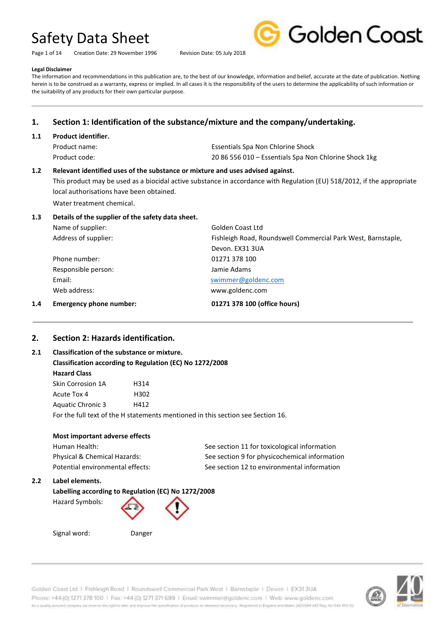Page 1 of 14 Creation Date: 29 November 1996 Revision Date: 05 July 2018



#### **Legal Disclaimer**

The information and recommendations in this publication are, to the best of our knowledge, information and belief, accurate at the date of publication. Nothing herein is to be construed as a warranty, express or implied. In all cases it is the responsibility of the users to determine the applicability of such information or the suitability of any products for their own particular purpose.

## **1. Section 1: Identification of the substance/mixture and the company/undertaking.**

## **1.1 Product identifier.**

| Product name: | Essentials Spa Non Chlorine Shock                     |
|---------------|-------------------------------------------------------|
| Product code: | 20 86 556 010 – Essentials Spa Non Chlorine Shock 1kg |

## **1.2 Relevant identified uses of the substance or mixture and uses advised against.**

This product may be used as a biocidal active substance in accordance with Regulation (EU) 518/2012, if the appropriate local authorisations have been obtained.

Water treatment chemical.

## **1.3 Details of the supplier of the safety data sheet.**

| 1.4 | <b>Emergency phone number:</b> | 01271 378 100 (office hours)                                 |
|-----|--------------------------------|--------------------------------------------------------------|
|     | Web address:                   | www.goldenc.com                                              |
|     | Email:                         | swimmer@goldenc.com                                          |
|     | Responsible person:            | Jamie Adams                                                  |
|     | Phone number:                  | 01271 378 100                                                |
|     |                                | Devon. EX31 3UA                                              |
|     | Address of supplier:           | Fishleigh Road, Roundswell Commercial Park West, Barnstaple, |
|     | Name of supplier:              | Golden Coast Ltd                                             |

## **2. Section 2: Hazards identification.**

## **2.1 Classification of the substance or mixture. Classification according to Regulation (EC) No 1272/2008 Hazard Class** Skin Corrosion 1A H314 Acute Tox 4 H302

Aquatic Chronic 3 H412

For the full text of the H statements mentioned in this section see Section 16.

## **Most important adverse effects**

| Human Health:                    | See section 11 for toxicological information  |
|----------------------------------|-----------------------------------------------|
| Physical & Chemical Hazards:     | See section 9 for physicochemical information |
| Potential environmental effects: | See section 12 to environmental information   |

## **2.2 Label elements.**

## **Labelling according to Regulation (EC) No 1272/2008**

Hazard Symbols:



Signal word: Danger

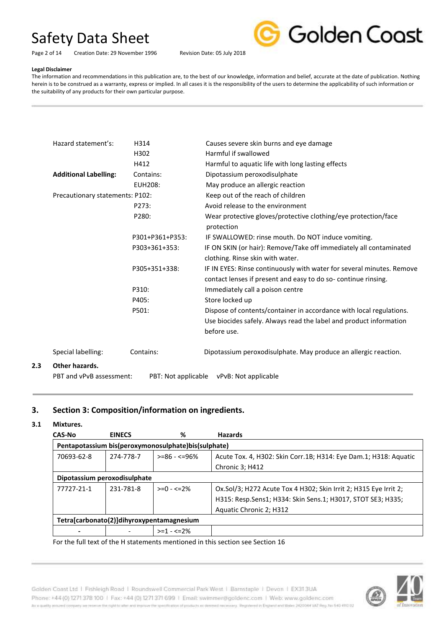Page 2 of 14 Creation Date: 29 November 1996 Revision Date: 05 July 2018



#### **Legal Disclaimer**

The information and recommendations in this publication are, to the best of our knowledge, information and belief, accurate at the date of publication. Nothing herein is to be construed as a warranty, express or implied. In all cases it is the responsibility of the users to determine the applicability of such information or the suitability of any products for their own particular purpose.

| Hazard statement's:                        | H314                | Causes severe skin burns and eye damage                                                                                                                  |
|--------------------------------------------|---------------------|----------------------------------------------------------------------------------------------------------------------------------------------------------|
|                                            | H302                | Harmful if swallowed                                                                                                                                     |
|                                            | H412                | Harmful to aquatic life with long lasting effects                                                                                                        |
| <b>Additional Labelling:</b>               | Contains:           | Dipotassium peroxodisulphate                                                                                                                             |
|                                            | EUH208:             | May produce an allergic reaction                                                                                                                         |
| Precautionary statements: P102:            |                     | Keep out of the reach of children                                                                                                                        |
|                                            | P273:               | Avoid release to the environment                                                                                                                         |
|                                            | P280:               | Wear protective gloves/protective clothing/eye protection/face<br>protection                                                                             |
|                                            | P301+P361+P353:     | IF SWALLOWED: rinse mouth. Do NOT induce vomiting.                                                                                                       |
|                                            | P303+361+353:       | IF ON SKIN (or hair): Remove/Take off immediately all contaminated<br>clothing. Rinse skin with water.                                                   |
|                                            | P305+351+338:       | IF IN EYES: Rinse continuously with water for several minutes. Remove<br>contact lenses if present and easy to do so-continue rinsing.                   |
|                                            | P310:               | Immediately call a poison centre                                                                                                                         |
|                                            | P405:               | Store locked up                                                                                                                                          |
|                                            | P501:               | Dispose of contents/container in accordance with local regulations.<br>Use biocides safely. Always read the label and product information<br>before use. |
| Special labelling:                         | Contains:           | Dipotassium peroxodisulphate. May produce an allergic reaction.                                                                                          |
| Other hazards.<br>PBT and vPvB assessment: | PBT: Not applicable | vPvB: Not applicable                                                                                                                                     |

## **3. Section 3: Composition/information on ingredients.**

## **3.1 Mixtures.**

**2.3 Other hazards.**

| <b>EINECS</b> | %              | <b>Hazards</b>                                                                                                                   |
|---------------|----------------|----------------------------------------------------------------------------------------------------------------------------------|
|               |                |                                                                                                                                  |
| 274-778-7     | $>= 86 - 596%$ | Acute Tox. 4, H302: Skin Corr.1B; H314: Eye Dam.1; H318: Aquatic                                                                 |
|               |                | Chronic 3; H412                                                                                                                  |
|               |                |                                                                                                                                  |
| 231-781-8     | $>=0 - 5 = 2%$ | Ox.Sol/3; H272 Acute Tox 4 H302; Skin Irrit 2; H315 Eye Irrit 2;                                                                 |
|               |                | H315: Resp.Sens1; H334: Skin Sens.1; H3017, STOT SE3; H335;                                                                      |
|               |                | Aquatic Chronic 2; H312                                                                                                          |
|               |                |                                                                                                                                  |
|               | $>=1 - 5 = 2%$ |                                                                                                                                  |
|               |                | Pentapotassium bis(peroxymonosulphate)bis(sulphate)<br>Dipotassium peroxodisulphate<br>Tetra[carbonato(2)]dihyroxypentamagnesium |

For the full text of the H statements mentioned in this section see Section 16



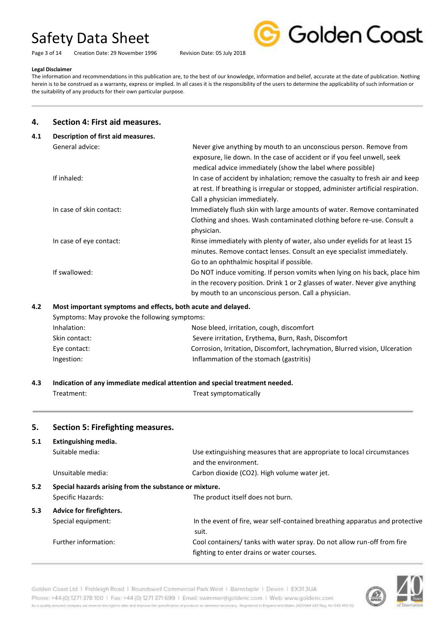Page 3 of 14 Creation Date: 29 November 1996 Revision Date: 05 July 2018



#### **Legal Disclaimer**

The information and recommendations in this publication are, to the best of our knowledge, information and belief, accurate at the date of publication. Nothing herein is to be construed as a warranty, express or implied. In all cases it is the responsibility of the users to determine the applicability of such information or the suitability of any products for their own particular purpose.

## **4. Section 4: First aid measures.**

| 4.1 | Description of first aid measures. |                                                                                                                                                                                                                    |
|-----|------------------------------------|--------------------------------------------------------------------------------------------------------------------------------------------------------------------------------------------------------------------|
|     | General advice:                    | Never give anything by mouth to an unconscious person. Remove from<br>exposure, lie down. In the case of accident or if you feel unwell, seek<br>medical advice immediately (show the label where possible)        |
|     | If inhaled:                        | In case of accident by inhalation; remove the casualty to fresh air and keep<br>at rest. If breathing is irregular or stopped, administer artificial respiration.<br>Call a physician immediately.                 |
|     | In case of skin contact:           | Immediately flush skin with large amounts of water. Remove contaminated<br>Clothing and shoes. Wash contaminated clothing before re-use. Consult a<br>physician.                                                   |
|     | In case of eye contact:            | Rinse immediately with plenty of water, also under eyelids for at least 15<br>minutes. Remove contact lenses. Consult an eye specialist immediately.<br>Go to an ophthalmic hospital if possible.                  |
|     | If swallowed:                      | Do NOT induce vomiting. If person vomits when lying on his back, place him<br>in the recovery position. Drink 1 or 2 glasses of water. Never give anything<br>by mouth to an unconscious person. Call a physician. |

### **4.2 Most important symptoms and effects, both acute and delayed.**

| Symptoms: May provoke the following symptoms: |                                                                             |
|-----------------------------------------------|-----------------------------------------------------------------------------|
| Inhalation:                                   | Nose bleed, irritation, cough, discomfort                                   |
| Skin contact:                                 | Severe irritation, Erythema, Burn, Rash, Discomfort                         |
| Eye contact:                                  | Corrosion, Irritation, Discomfort, Iachrymation, Blurred vision, Ulceration |
| Ingestion:                                    | Inflammation of the stomach (gastritis)                                     |

| 4.3                                                           | Indication of any immediate medical attention and special treatment needed. |                                                                                                                       |  |
|---------------------------------------------------------------|-----------------------------------------------------------------------------|-----------------------------------------------------------------------------------------------------------------------|--|
|                                                               | Treatment:                                                                  | Treat symptomatically                                                                                                 |  |
| 5.                                                            | Section 5: Firefighting measures.                                           |                                                                                                                       |  |
| 5.1                                                           | Extinguishing media.                                                        |                                                                                                                       |  |
|                                                               | Suitable media:                                                             | Use extinguishing measures that are appropriate to local circumstances<br>and the environment.                        |  |
|                                                               | Unsuitable media:                                                           | Carbon dioxide (CO2). High volume water jet.                                                                          |  |
| 5.2<br>Special hazards arising from the substance or mixture. |                                                                             |                                                                                                                       |  |
|                                                               | Specific Hazards:                                                           | The product itself does not burn.                                                                                     |  |
| 5.3                                                           | Advice for firefighters.                                                    |                                                                                                                       |  |
|                                                               | Special equipment:                                                          | In the event of fire, wear self-contained breathing apparatus and protective<br>suit.                                 |  |
|                                                               | Further information:                                                        | Cool containers/ tanks with water spray. Do not allow run-off from fire<br>fighting to enter drains or water courses. |  |

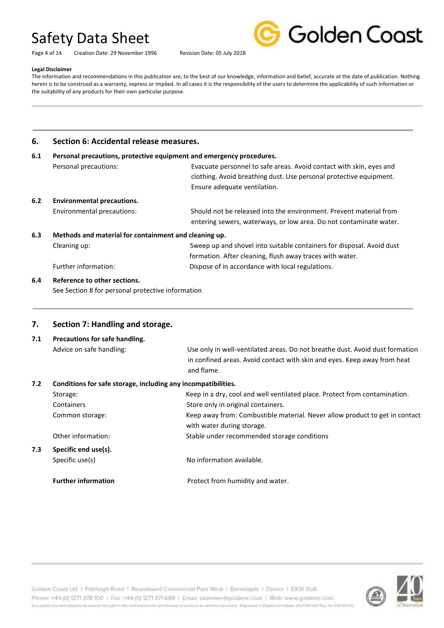Page 4 of 14 Creation Date: 29 November 1996 Revision Date: 05 July 2018



#### **Legal Disclaimer**

The information and recommendations in this publication are, to the best of our knowledge, information and belief, accurate at the date of publication. Nothing herein is to be construed as a warranty, express or implied. In all cases it is the responsibility of the users to determine the applicability of such information or the suitability of any products for their own particular purpose.

## **6. Section 6: Accidental release measures.**

## **6.1 Personal precautions, protective equipment and emergency procedures.** Personal precautions: Evacuate personnel to safe areas. Avoid contact with skin, eyes and clothing. Avoid breathing dust. Use personal protective equipment. Ensure adequate ventilation. **6.2 Environmental precautions.** Environmental precautions: Should not be released into the environment. Prevent material from entering sewers, waterways, or low area. Do not contaminate water. **6.3 Methods and material for containment and cleaning up.** Cleaning up: Sweep up and shovel into suitable containers for disposal. Avoid dust formation. After cleaning, flush away traces with water. Further information:  $\qquad \qquad$  Dispose of in accordance with local regulations.

## **6.4 Reference to other sections.**

See Section 8 for personal protective information

## **7. Section 7: Handling and storage.**

**7.1 Precautions for safe handling.** Advice on safe handling: Use only in well-ventilated areas. Do not breathe dust. Avoid dust formation in confined areas. Avoid contact with skin and eyes. Keep away from heat and flame. **7.2 Conditions for safe storage, including any incompatibilities.** Storage: Storage: Storage: Keep in a dry, cool and well ventilated place. Protect from contamination. Containers Containers Containers. Common storage: Keep away from: Combustible material. Never allow product to get in contact with water during storage. Other information: Stable under recommended storage conditions **7.3 Specific end use(s).** Specific use(s) No information available.

**Further information Protect from humidity and water.**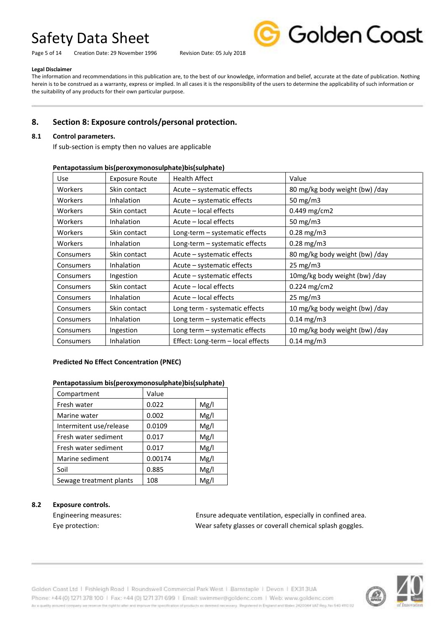Page 5 of 14 Creation Date: 29 November 1996 Revision Date: 05 July 2018



#### **Legal Disclaimer**

The information and recommendations in this publication are, to the best of our knowledge, information and belief, accurate at the date of publication. Nothing herein is to be construed as a warranty, express or implied. In all cases it is the responsibility of the users to determine the applicability of such information or the suitability of any products for their own particular purpose.

## **8. Section 8: Exposure controls/personal protection.**

## **8.1 Control parameters.**

If sub-section is empty then no values are applicable

| <b>Use</b>     | <b>Exposure Route</b> | <b>Health Affect</b>              | Value                          |
|----------------|-----------------------|-----------------------------------|--------------------------------|
| <b>Workers</b> | Skin contact          | Acute - systematic effects        | 80 mg/kg body weight (bw) /day |
| Workers        | Inhalation            | Acute - systematic effects        | 50 mg/m $3$                    |
| Workers        | Skin contact          | Acute – local effects             | $0.449$ mg/cm2                 |
| <b>Workers</b> | Inhalation            | Acute – local effects             | 50 mg/m3                       |
| <b>Workers</b> | Skin contact          | Long-term - systematic effects    | $0.28$ mg/m3                   |
| <b>Workers</b> | <b>Inhalation</b>     | Long-term - systematic effects    | $0.28$ mg/m3                   |
| Consumers      | Skin contact          | Acute - systematic effects        | 80 mg/kg body weight (bw) /day |
| Consumers      | Inhalation            | Acute - systematic effects        | $25 \text{ mg/m}$ 3            |
| Consumers      | Ingestion             | Acute – systematic effects        | 10mg/kg body weight (bw) /day  |
| Consumers      | Skin contact          | Acute – local effects             | $0.224 \text{ mg/cm2}$         |
| Consumers      | Inhalation            | Acute – local effects             | $25 \text{ mg/m}$ 3            |
| Consumers      | Skin contact          | Long term - systematic effects    | 10 mg/kg body weight (bw) /day |
| Consumers      | Inhalation            | Long term - systematic effects    | $0.14$ mg/m3                   |
| Consumers      | Ingestion             | Long term - systematic effects    | 10 mg/kg body weight (bw) /day |
| Consumers      | Inhalation            | Effect: Long-term - local effects | $0.14$ mg/m3                   |

## **Pentapotassium bis(peroxymonosulphate)bis(sulphate)**

## **Predicted No Effect Concentration (PNEC)**

## Pentapotassium bis(peroxymonosulphate)bis(sulphate)

| Compartment             | Value   |      |
|-------------------------|---------|------|
| Fresh water             | 0.022   | Mg/l |
| Marine water            | 0.002   | Mg/l |
| Intermitent use/release | 0.0109  | Mg/l |
| Fresh water sediment    | 0.017   | Mg/l |
| Fresh water sediment    | 0.017   | Mg/l |
| Marine sediment         | 0.00174 | Mg/l |
| Soil                    | 0.885   | Mg/l |
| Sewage treatment plants | 108     | Mg/l |

## **8.2 Exposure controls.**

Engineering measures: Ensure adequate ventilation, especially in confined area. Eye protection: Wear safety glasses or coverall chemical splash goggles.

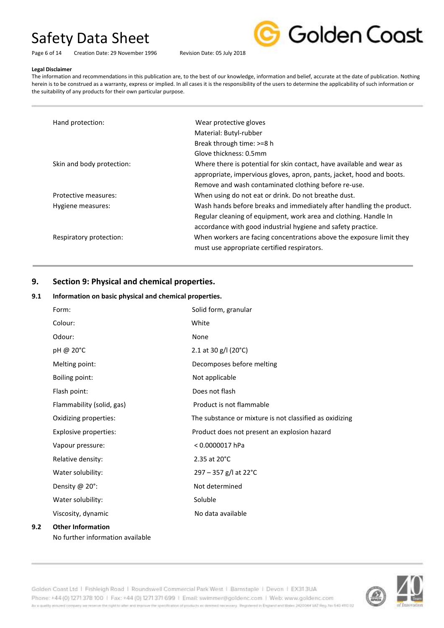Page 6 of 14 Creation Date: 29 November 1996 Revision Date: 05 July 2018



#### **Legal Disclaimer**

The information and recommendations in this publication are, to the best of our knowledge, information and belief, accurate at the date of publication. Nothing herein is to be construed as a warranty, express or implied. In all cases it is the responsibility of the users to determine the applicability of such information or the suitability of any products for their own particular purpose.

| Hand protection:          | Wear protective gloves                                                |
|---------------------------|-----------------------------------------------------------------------|
|                           | Material: Butyl-rubber                                                |
|                           | Break through time: >=8 h                                             |
|                           | Glove thickness: 0.5mm                                                |
| Skin and body protection: | Where there is potential for skin contact, have available and wear as |
|                           | appropriate, impervious gloves, apron, pants, jacket, hood and boots. |
|                           | Remove and wash contaminated clothing before re-use.                  |
| Protective measures:      | When using do not eat or drink. Do not breathe dust.                  |
| Hygiene measures:         | Wash hands before breaks and immediately after handling the product.  |
|                           | Regular cleaning of equipment, work area and clothing. Handle In      |
|                           | accordance with good industrial hygiene and safety practice.          |
| Respiratory protection:   | When workers are facing concentrations above the exposure limit they  |
|                           | must use appropriate certified respirators.                           |

## **9. Section 9: Physical and chemical properties.**

## **9.1 Information on basic physical and chemical properties.**

| Form:                     | Solid form, granular                                    |
|---------------------------|---------------------------------------------------------|
| Colour:                   | White                                                   |
| Odour:                    | None                                                    |
| pH @ 20°C                 | 2.1 at 30 g/l (20°C)                                    |
| Melting point:            | Decomposes before melting                               |
| Boiling point:            | Not applicable                                          |
| Flash point:              | Does not flash                                          |
| Flammability (solid, gas) | Product is not flammable                                |
| Oxidizing properties:     | The substance or mixture is not classified as oxidizing |
| Explosive properties:     | Product does not present an explosion hazard            |
| Vapour pressure:          | $< 0.0000017$ hPa                                       |
| Relative density:         | 2.35 at 20°C                                            |
| Water solubility:         | 297 - 357 g/l at 22°C                                   |
| Density @ 20°:            | Not determined                                          |
| Water solubility:         | Soluble                                                 |
| Viscosity, dynamic        | No data available                                       |
| <b>Other Information</b>  |                                                         |

No further information available

**9.2 Other Information**

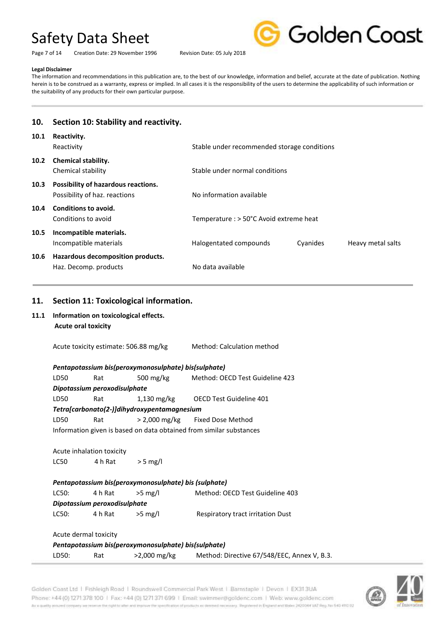Page 7 of 14 Creation Date: 29 November 1996 Revision Date: 05 July 2018



#### **Legal Disclaimer**

The information and recommendations in this publication are, to the best of our knowledge, information and belief, accurate at the date of publication. Nothing herein is to be construed as a warranty, express or implied. In all cases it is the responsibility of the users to determine the applicability of such information or the suitability of any products for their own particular purpose.

## **10. Section 10: Stability and reactivity. 10.1 Reactivity.**

| TO'T | <b>Reactivity.</b><br>Reactivity                                     | Stable under recommended storage conditions |          |                   |
|------|----------------------------------------------------------------------|---------------------------------------------|----------|-------------------|
| 10.2 | <b>Chemical stability.</b><br>Chemical stability                     | Stable under normal conditions              |          |                   |
| 10.3 | Possibility of hazardous reactions.<br>Possibility of haz. reactions | No information available                    |          |                   |
| 10.4 | Conditions to avoid.<br>Conditions to avoid                          | Temperature : > 50°C Avoid extreme heat     |          |                   |
| 10.5 | Incompatible materials.<br>Incompatible materials                    | Halogentated compounds                      | Cyanides | Heavy metal salts |
| 10.6 | Hazardous decomposition products.<br>Haz. Decomp. products           | No data available                           |          |                   |

## **11. Section 11: Toxicological information.**

**11.1 Information on toxicological effects. Acute oral toxicity** 

Acute toxicity estimate: 506.88 mg/kg Method: Calculation method

*Pentapotassium bis(peroxymonosulphate) bis(sulphate)* LD50 Rat 500 mg/kg Method: OECD Test Guideline 423 *Dipotassium peroxodisulphate*  LD50 Rat 1,130 mg/kg OECD Test Guideline 401 *Tetra[carbonato(2-)]dihydroxypentamagnesium* LD50 Rat > 2,000 mg/kg Fixed Dose Method Information given is based on data obtained from similar substances

Acute inhalation toxicity LC50  $4 h$  Rat  $> 5$  mg/l

*Pentapotassium bis(peroxymonosulphate) bis (sulphate)*  LC50: 4 h Rat > > 5 mg/l Method: OECD Test Guideline 403 *Dipotassium peroxodisulphate*

LC50: 4 h Rat >5 mg/l Respiratory tract irritation Dust

## Acute dermal toxicity *Pentapotassium bis(peroxymonosulphate) bis(sulphate)* LD50: Rat >2,000 mg/kg Method: Directive 67/548/EEC, Annex V, B.3.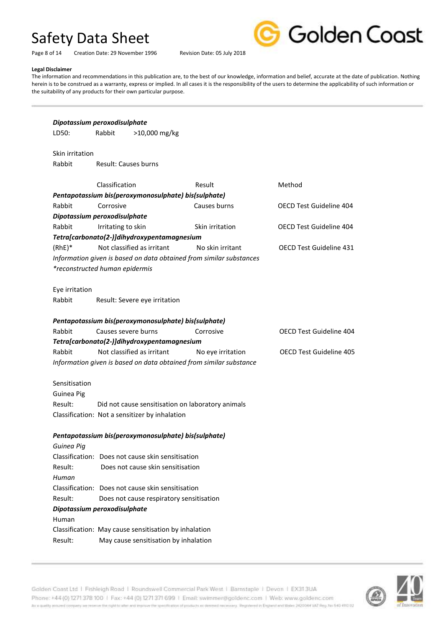Page 8 of 14 Creation Date: 29 November 1996 Revision Date: 05 July 2018



#### **Legal Disclaimer**

The information and recommendations in this publication are, to the best of our knowledge, information and belief, accurate at the date of publication. Nothing herein is to be construed as a warranty, express or implied. In all cases it is the responsibility of the users to determine the applicability of such information or the suitability of any products for their own particular purpose.

| LD50:                          | Rabbit             | >10,000 mg/kg                                         |                                                                     |                                |
|--------------------------------|--------------------|-------------------------------------------------------|---------------------------------------------------------------------|--------------------------------|
|                                |                    |                                                       |                                                                     |                                |
| Skin irritation                |                    |                                                       |                                                                     |                                |
| Rabbit                         |                    | <b>Result: Causes burns</b>                           |                                                                     |                                |
|                                | Classification     |                                                       | Result                                                              | Method                         |
|                                |                    | Pentapotassium bis(peroxymonosulphate) bis(sulphate)  |                                                                     |                                |
| Rabbit                         | Corrosive          |                                                       | Causes burns                                                        | <b>OECD Test Guideline 404</b> |
| Dipotassium peroxodisulphate   |                    |                                                       |                                                                     |                                |
| Rabbit                         | Irritating to skin |                                                       | Skin irritation                                                     | <b>OECD Test Guideline 404</b> |
|                                |                    | Tetra[carbonato(2-)]dihydroxypentamagnesium           |                                                                     |                                |
| $(RhE)*$                       |                    | Not classified as irritant                            | No skin irritant                                                    | <b>OECD Test Guideline 431</b> |
|                                |                    |                                                       | Information given is based on data obtained from similar substances |                                |
| *reconstructed human epidermis |                    |                                                       |                                                                     |                                |
| Eye irritation                 |                    |                                                       |                                                                     |                                |
| Rabbit                         |                    | Result: Severe eye irritation                         |                                                                     |                                |
|                                |                    |                                                       |                                                                     |                                |
|                                |                    | Pentapotassium bis(peroxymonosulphate) bis(sulphate)  |                                                                     |                                |
| Rabbit                         |                    | Causes severe burns                                   | Corrosive                                                           | <b>OECD Test Guideline 404</b> |
|                                |                    | Tetra[carbonato(2-)]dihydroxypentamagnesium           |                                                                     |                                |
| Rabbit                         |                    | Not classified as irritant                            | No eye irritation                                                   | <b>OECD Test Guideline 405</b> |
|                                |                    |                                                       | Information given is based on data obtained from similar substance  |                                |
| Sensitisation                  |                    |                                                       |                                                                     |                                |
| Guinea Pig                     |                    |                                                       |                                                                     |                                |
| Result:                        |                    |                                                       | Did not cause sensitisation on laboratory animals                   |                                |
|                                |                    | Classification: Not a sensitizer by inhalation        |                                                                     |                                |
|                                |                    |                                                       |                                                                     |                                |
|                                |                    | Pentapotassium bis(peroxymonosulphate) bis(sulphate)  |                                                                     |                                |
| Guinea Pig                     |                    |                                                       |                                                                     |                                |
|                                |                    | Classification: Does not cause skin sensitisation     |                                                                     |                                |
| Result:                        |                    | Does not cause skin sensitisation                     |                                                                     |                                |
| Human                          |                    |                                                       |                                                                     |                                |
|                                |                    | Classification: Does not cause skin sensitisation     |                                                                     |                                |
| Result:                        |                    | Does not cause respiratory sensitisation              |                                                                     |                                |
| Dipotassium peroxodisulphate   |                    |                                                       |                                                                     |                                |
|                                |                    |                                                       |                                                                     |                                |
| Human                          |                    |                                                       |                                                                     |                                |
|                                |                    | Classification: May cause sensitisation by inhalation |                                                                     |                                |

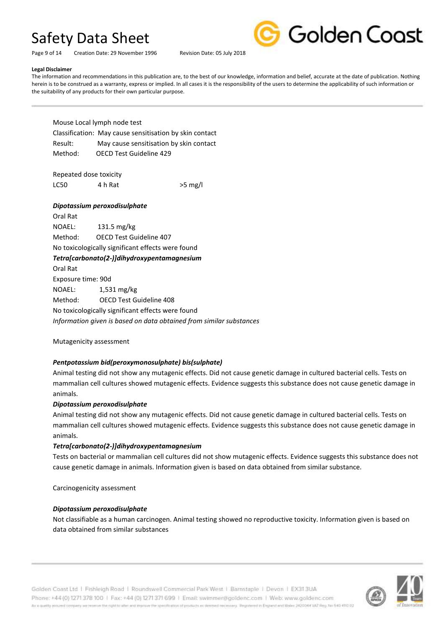Page 9 of 14 Creation Date: 29 November 1996 Revision Date: 05 July 2018



## **Legal Disclaimer**

The information and recommendations in this publication are, to the best of our knowledge, information and belief, accurate at the date of publication. Nothing herein is to be construed as a warranty, express or implied. In all cases it is the responsibility of the users to determine the applicability of such information or the suitability of any products for their own particular purpose.

Mouse Local lymph node test Classification: May cause sensitisation by skin contact Result: May cause sensitisation by skin contact Method: OECD Test Guideline 429

Repeated dose toxicity LC50  $4 h$  Rat  $>5 mg/l$ 

## *Dipotassium peroxodisulphate*

Oral Rat NOAEL: 131.5 mg/kg Method: OECD Test Guideline 407 No toxicologically significant effects were found *Tetra[carbonato(2-)]dihydroxypentamagnesium* Oral Rat Exposure time: 90d NOAEL: 1,531 mg/kg Method: OECD Test Guideline 408 No toxicologically significant effects were found *Information given is based on data obtained from similar substances*

Mutagenicity assessment

## *Pentpotassium bid(peroxymonosulphate) bis(sulphate)*

Animal testing did not show any mutagenic effects. Did not cause genetic damage in cultured bacterial cells. Tests on mammalian cell cultures showed mutagenic effects. Evidence suggests this substance does not cause genetic damage in animals.

## *Dipotassium peroxodisulphate*

Animal testing did not show any mutagenic effects. Did not cause genetic damage in cultured bacterial cells. Tests on mammalian cell cultures showed mutagenic effects. Evidence suggests this substance does not cause genetic damage in animals.

## *Tetra[carbonato(2-)]dihydroxypentamagnesium*

Tests on bacterial or mammalian cell cultures did not show mutagenic effects. Evidence suggests this substance does not cause genetic damage in animals. Information given is based on data obtained from similar substance.

Carcinogenicity assessment

## *Dipotassium peroxodisulphate*

Not classifiable as a human carcinogen. Animal testing showed no reproductive toxicity. Information given is based on data obtained from similar substances



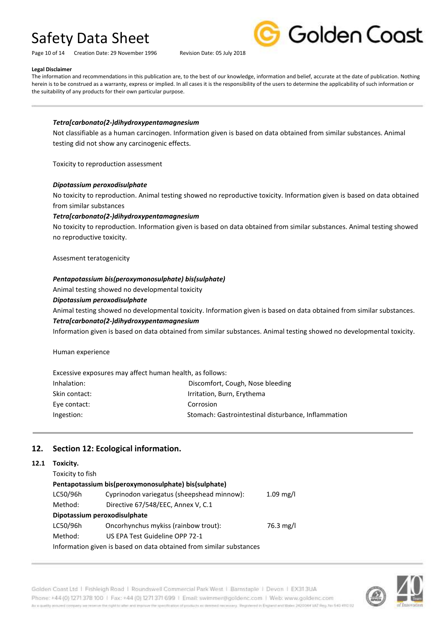Page 10 of 14 Creation Date: 29 November 1996 Revision Date: 05 July 2018



#### **Legal Disclaimer**

The information and recommendations in this publication are, to the best of our knowledge, information and belief, accurate at the date of publication. Nothing herein is to be construed as a warranty, express or implied. In all cases it is the responsibility of the users to determine the applicability of such information or the suitability of any products for their own particular purpose.

## *Tetra[carbonato(2-)dihydroxypentamagnesium*

Not classifiable as a human carcinogen. Information given is based on data obtained from similar substances. Animal testing did not show any carcinogenic effects.

Toxicity to reproduction assessment

### *Dipotassium peroxodisulphate*

No toxicity to reproduction. Animal testing showed no reproductive toxicity. Information given is based on data obtained from similar substances

## *Tetra[carbonato(2-)dihydroxypentamagnesium*

No toxicity to reproduction. Information given is based on data obtained from similar substances. Animal testing showed no reproductive toxicity.

### Assesment teratogenicity

### *Pentapotassium bis(peroxymonosulphate) bis(sulphate)*

Animal testing showed no developmental toxicity

## *Dipotassium peroxodisulphate*

Animal testing showed no developmental toxicity. Information given is based on data obtained from similar substances.

#### *Tetra[carbonato(2-)dihydroxypentamagnesium*

Information given is based on data obtained from similar substances. Animal testing showed no developmental toxicity.

Human experience

**12.1 Toxicity.**

| Excessive exposures may affect human health, as follows: |                                                     |
|----------------------------------------------------------|-----------------------------------------------------|
| Inhalation:                                              | Discomfort, Cough, Nose bleeding                    |
| Skin contact:                                            | Irritation, Burn, Erythema                          |
| Eye contact:                                             | Corrosion                                           |
| Ingestion:                                               | Stomach: Gastrointestinal disturbance, Inflammation |

## **12. Section 12: Ecological information.**

| Toxicity.                                                           |                                                      |           |  |
|---------------------------------------------------------------------|------------------------------------------------------|-----------|--|
| Toxicity to fish                                                    |                                                      |           |  |
|                                                                     | Pentapotassium bis(peroxymonosulphate) bis(sulphate) |           |  |
| LC50/96h                                                            | Cyprinodon variegatus (sheepshead minnow):           | 1.09 mg/l |  |
| Method:                                                             | Directive 67/548/EEC, Annex V, C.1                   |           |  |
| Dipotassium peroxodisulphate                                        |                                                      |           |  |
| LC50/96h                                                            | Oncorhynchus mykiss (rainbow trout):                 | 76.3 mg/l |  |
| Method:                                                             | US EPA Test Guideline OPP 72-1                       |           |  |
| Information given is based on data obtained from similar substances |                                                      |           |  |

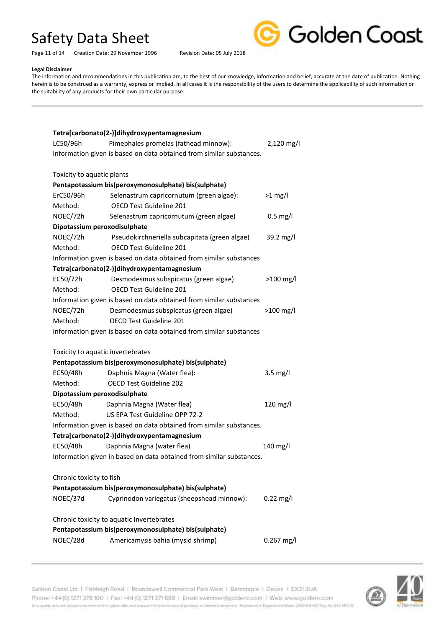Golden Coast

Page 11 of 14 Creation Date: 29 November 1996 Revision Date: 05 July 2018

#### **Legal Disclaimer**

The information and recommendations in this publication are, to the best of our knowledge, information and belief, accurate at the date of publication. Nothing herein is to be construed as a warranty, express or implied. In all cases it is the responsibility of the users to determine the applicability of such information or the suitability of any products for their own particular purpose.

| Tetra[carbonato(2-)]dihydroxypentamagnesium          |                                                                      |                     |  |  |
|------------------------------------------------------|----------------------------------------------------------------------|---------------------|--|--|
| LC50/96h                                             | Pimephales promelas (fathead minnow):                                | $2,120$ mg/l        |  |  |
|                                                      | Information given is based on data obtained from similar substances. |                     |  |  |
|                                                      |                                                                      |                     |  |  |
| Toxicity to aquatic plants                           |                                                                      |                     |  |  |
|                                                      | Pentapotassium bis(peroxymonosulphate) bis(sulphate)                 |                     |  |  |
| ErC50/96h                                            | Selenastrum capricornutum (green algae):                             | $>1$ mg/l           |  |  |
| Method:                                              | OECD Test Guideline 201                                              |                     |  |  |
| NOEC/72h                                             | Selenastrum capricornutum (green algae)                              | $0.5$ mg/l          |  |  |
| Dipotassium peroxodisulphate                         |                                                                      |                     |  |  |
| NOEC/72h                                             | Pseudokirchneriella subcapitata (green algae)                        | 39.2 mg/l           |  |  |
| Method:                                              | OECD Test Guideline 201                                              |                     |  |  |
|                                                      | Information given is based on data obtained from similar substances  |                     |  |  |
|                                                      | Tetra[carbonato(2-)]dihydroxypentamagnesium                          |                     |  |  |
| EC50/72h                                             | Desmodesmus subspicatus (green algae)                                | $>100$ mg/l         |  |  |
| Method:                                              | <b>OECD Test Guideline 201</b>                                       |                     |  |  |
|                                                      | Information given is based on data obtained from similar substances  |                     |  |  |
| NOEC/72h                                             | Desmodesmus subspicatus (green algae)                                | $>100$ mg/l         |  |  |
| Method:                                              | OECD Test Guideline 201                                              |                     |  |  |
|                                                      | Information given is based on data obtained from similar substances  |                     |  |  |
|                                                      |                                                                      |                     |  |  |
|                                                      | Toxicity to aquatic invertebrates                                    |                     |  |  |
|                                                      | Pentapotassium bis(peroxymonosulphate) bis(sulphate)                 |                     |  |  |
| EC50/48h                                             | Daphnia Magna (Water flea):                                          | $3.5$ mg/l          |  |  |
| Method:                                              | <b>OECD Test Guideline 202</b>                                       |                     |  |  |
| Dipotassium peroxodisulphate                         |                                                                      |                     |  |  |
| EC50/48h                                             | Daphnia Magna (Water flea)                                           | 120 mg/l            |  |  |
| Method:                                              | US EPA Test Guideline OPP 72-2                                       |                     |  |  |
|                                                      | Information given is based on data obtained from similar substances. |                     |  |  |
| Tetra[carbonato(2-)]dihydroxypentamagnesium          |                                                                      |                     |  |  |
| EC50/48h                                             | Daphnia Magna (water flea)                                           | 140 mg/l            |  |  |
|                                                      | Information given in based on data obtained from similar substances. |                     |  |  |
|                                                      |                                                                      |                     |  |  |
| Chronic toxicity to fish                             | Pentapotassium bis(peroxymonosulphate) bis(sulphate)                 |                     |  |  |
| NOEC/37d                                             |                                                                      |                     |  |  |
|                                                      | Cyprinodon variegatus (sheepshead minnow):                           | $0.22 \text{ mg/l}$ |  |  |
| Chronic toxicity to aquatic Invertebrates            |                                                                      |                     |  |  |
| Pentapotassium bis(peroxymonosulphate) bis(sulphate) |                                                                      |                     |  |  |
| NOEC/28d                                             | Americamysis bahia (mysid shrimp)                                    | $0.267$ mg/l        |  |  |
|                                                      |                                                                      |                     |  |  |

Golden Coast Ltd | Fishleigh Road | Roundswell Commercial Park West | Barnstaple | Devon | EX313UA Phone: +44 (0) 1271 378 100 | Fax: +44 (0) 1271 371 699 | Email: swimmer@goldenc.com | Web: www.goldenc.com As a quality ensured company we reserve the right to after and enprice the specification of products as deepent recessary. Registered in England and Wales (AQDO44 VAT Reg. Just 540-410 D2

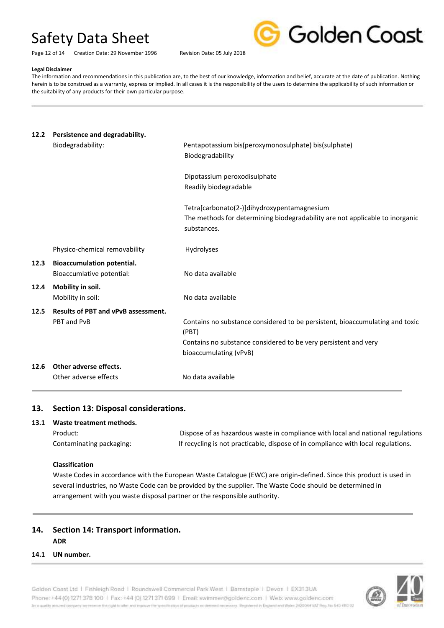Page 12 of 14 Creation Date: 29 November 1996 Revision Date: 05 July 2018



#### **Legal Disclaimer**

The information and recommendations in this publication are, to the best of our knowledge, information and belief, accurate at the date of publication. Nothing herein is to be construed as a warranty, express or implied. In all cases it is the responsibility of the users to determine the applicability of such information or the suitability of any products for their own particular purpose.

## **12.2 Persistence and degradability.**

|      | Biodegradability:                   | Pentapotassium bis(peroxymonosulphate) bis(sulphate)<br>Biodegradability                                                                   |
|------|-------------------------------------|--------------------------------------------------------------------------------------------------------------------------------------------|
|      |                                     | Dipotassium peroxodisulphate<br>Readily biodegradable                                                                                      |
|      |                                     | Tetra[carbonato(2-)]dihydroxypentamagnesium<br>The methods for determining biodegradability are not applicable to inorganic<br>substances. |
|      | Physico-chemical removability       | <b>Hydrolyses</b>                                                                                                                          |
| 12.3 | <b>Bioaccumulation potential.</b>   |                                                                                                                                            |
|      | Bioaccumlative potential:           | No data available                                                                                                                          |
| 12.4 | Mobility in soil.                   |                                                                                                                                            |
|      | Mobility in soil:                   | No data available                                                                                                                          |
| 12.5 | Results of PBT and vPvB assessment. |                                                                                                                                            |
|      | PBT and PvB                         | Contains no substance considered to be persistent, bioaccumulating and toxic<br>(PBT)                                                      |
|      |                                     | Contains no substance considered to be very persistent and very                                                                            |
|      |                                     | bioaccumulating (vPvB)                                                                                                                     |
| 12.6 | Other adverse effects.              |                                                                                                                                            |
|      | Other adverse effects               | No data available                                                                                                                          |
|      |                                     |                                                                                                                                            |

## **13. Section 13: Disposal considerations.**

## **13.1 Waste treatment methods.**

| Product:                 | Dispose of as hazardous waste in compliance with local and national regulations   |
|--------------------------|-----------------------------------------------------------------------------------|
| Contaminating packaging: | If recycling is not practicable, dispose of in compliance with local regulations. |

## **Classification**

Waste Codes in accordance with the European Waste Catalogue (EWC) are origin-defined. Since this product is used in several industries, no Waste Code can be provided by the supplier. The Waste Code should be determined in arrangement with you waste disposal partner or the responsible authority.

## **14. Section 14: Transport information. ADR**

## **14.1 UN number.**

Golden Coast Ltd | Fishleigh Road | Roundswell Commercial Park West | Barnstaple | Devon | EX313UA Phone: +44 (0) 1271 378 100 | Fax: +44 (0) 1271 371 699 | Email: swimmer@goldenc.com | Web: www.goldenc.com As a quality annumel company we renewe the right to aller wid improve the specification of products as deemed recessory. Registered in England and Wales 2420044 VAT Reg. No 540-410 02

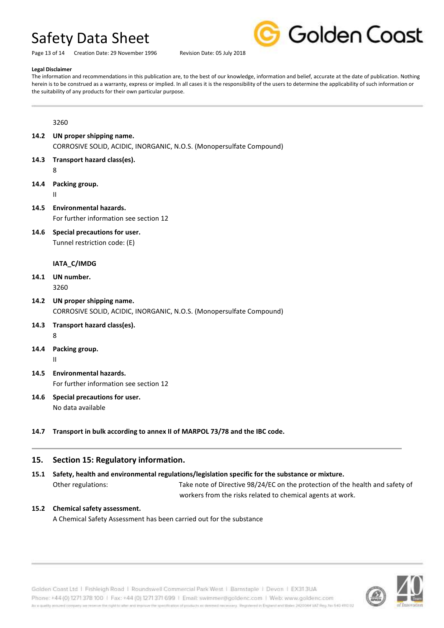Page 13 of 14 Creation Date: 29 November 1996 Revision Date: 05 July 2018



#### **Legal Disclaimer**

The information and recommendations in this publication are, to the best of our knowledge, information and belief, accurate at the date of publication. Nothing herein is to be construed as a warranty, express or implied. In all cases it is the responsibility of the users to determine the applicability of such information or the suitability of any products for their own particular purpose.

3260

- **14.2 UN proper shipping name.** CORROSIVE SOLID, ACIDIC, INORGANIC, N.O.S. (Monopersulfate Compound)
- **14.3 Transport hazard class(es).** 8

**14.4 Packing group.**

II

- **14.5 Environmental hazards.** For further information see section 12
- **14.6 Special precautions for user.** Tunnel restriction code: (E)

## **IATA\_C/IMDG**

- **14.1 UN number.** 3260
- **14.2 UN proper shipping name.** CORROSIVE SOLID, ACIDIC, INORGANIC, N.O.S. (Monopersulfate Compound)
- **14.3 Transport hazard class(es).**
	- 8
- **14.4 Packing group.** II
- **14.5 Environmental hazards.** For further information see section 12
- **14.6 Special precautions for user.** No data available
- **14.7 Transport in bulk according to annex II of MARPOL 73/78 and the IBC code.**

## **15. Section 15: Regulatory information.**

- **15.1 Safety, health and environmental regulations/legislation specific for the substance or mixture.**
	-

Other regulations: Take note of Directive 98/24/EC on the protection of the health and safety of workers from the risks related to chemical agents at work.

## **15.2 Chemical safety assessment.**

A Chemical Safety Assessment has been carried out for the substance